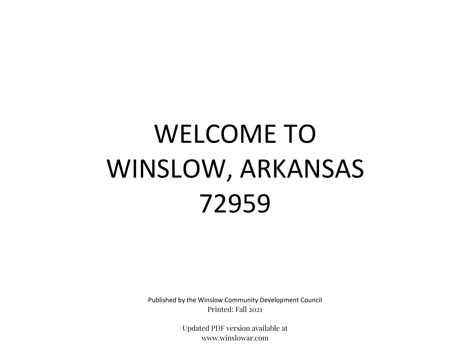# WELCOME TO WINSLOW, ARKANSAS 72959

Published by the Winslow Community Development Council Printed: Fall 2021

> Updated PDF version available at www.winslowar.com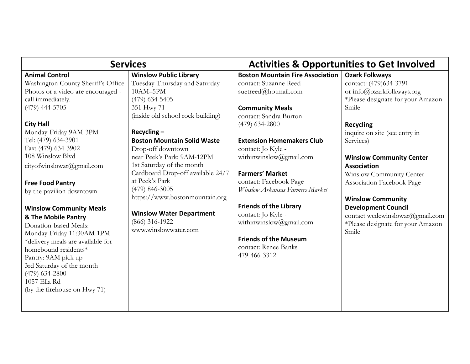| <b>Services</b>                                                                                                                                                                                                                                                                                                                                                                                                                                                                                                                                                                                                                                   |                                                                                                                                                                                                                                                                                                                                                                                                                                                                                      | <b>Activities &amp; Opportunities to Get Involved</b>                                                                                                                                                                                                                                                                                                                                                                                                                                                  |                                                                                                                                                                                                                                                                                                                                                                                                                                                                  |
|---------------------------------------------------------------------------------------------------------------------------------------------------------------------------------------------------------------------------------------------------------------------------------------------------------------------------------------------------------------------------------------------------------------------------------------------------------------------------------------------------------------------------------------------------------------------------------------------------------------------------------------------------|--------------------------------------------------------------------------------------------------------------------------------------------------------------------------------------------------------------------------------------------------------------------------------------------------------------------------------------------------------------------------------------------------------------------------------------------------------------------------------------|--------------------------------------------------------------------------------------------------------------------------------------------------------------------------------------------------------------------------------------------------------------------------------------------------------------------------------------------------------------------------------------------------------------------------------------------------------------------------------------------------------|------------------------------------------------------------------------------------------------------------------------------------------------------------------------------------------------------------------------------------------------------------------------------------------------------------------------------------------------------------------------------------------------------------------------------------------------------------------|
| <b>Animal Control</b><br>Washington County Sheriff's Office<br>Photos or a video are encouraged -<br>call immediately.<br>$(479)$ 444-5705<br><b>City Hall</b><br>Monday-Friday 9AM-3PM<br>Tel: (479) 634-3901<br>Fax: (479) 634-3902<br>108 Winslow Blvd<br>cityofwinslowar@gmail.com<br><b>Free Food Pantry</b><br>by the pavilion downtown<br><b>Winslow Community Meals</b><br>& The Mobile Pantry<br>Donation-based Meals:<br>Monday-Friday 11:30AM-1PM<br>*delivery meals are available for<br>homebound residents*<br>Pantry: 9AM pick up<br>3rd Saturday of the month<br>$(479)$ 634-2800<br>1057 Ella Rd<br>(by the firehouse on Hwy 71) | <b>Winslow Public Library</b><br>Tuesday-Thursday and Saturday<br>10AM-5PM<br>$(479)$ 634-5405<br>351 Hwy 71<br>(inside old school rock building)<br>$Recycling -$<br><b>Boston Mountain Solid Waste</b><br>Drop-off downtown<br>near Peek's Park: 9AM-12PM<br>1st Saturday of the month<br>Cardboard Drop-off available 24/7<br>at Peek's Park<br>$(479)$ 846-3005<br>https://www.bostonmountain.org<br><b>Winslow Water Department</b><br>$(866)$ 316-1922<br>www.winslowwater.com | <b>Boston Mountain Fire Association</b><br>contact: Suzanne Reed<br>suetreed@hotmail.com<br><b>Community Meals</b><br>contact: Sandra Burton<br>$(479)$ 634-2800<br><b>Extension Homemakers Club</b><br>contact: Jo Kyle -<br>withinwinslow@gmail.com<br><b>Farmers' Market</b><br>contact: Facebook Page<br>Winslow Arkansas Farmers Market<br><b>Friends of the Library</b><br>contact: Jo Kyle -<br>withinwinslow@gmail.com<br><b>Friends of the Museum</b><br>contact: Renee Banks<br>479-466-3312 | <b>Ozark Folkways</b><br>contact: (479)634-3791<br>or info@ozarkfolkways.org<br>*Please designate for your Amazon<br>Smile<br><b>Recycling</b><br>inquire on site (see entry in<br>Services)<br><b>Winslow Community Center</b><br><b>Association</b><br>Winslow Community Center<br><b>Association Facebook Page</b><br><b>Winslow Community</b><br><b>Development Council</b><br>contact wedewinslowar@gmail.com<br>*Please designate for your Amazon<br>Smile |
|                                                                                                                                                                                                                                                                                                                                                                                                                                                                                                                                                                                                                                                   |                                                                                                                                                                                                                                                                                                                                                                                                                                                                                      |                                                                                                                                                                                                                                                                                                                                                                                                                                                                                                        |                                                                                                                                                                                                                                                                                                                                                                                                                                                                  |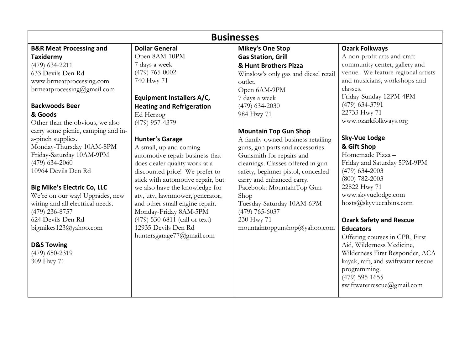### Businesses

## B&R Meat Processing and

Taxidermy (479) 634-2211 633 Devils Den Rd www.brmeatprocessing.com brmeatprocessing@gmail.com

#### Backwoods Beer

#### & Goods

Other than the obvious, we also carry some picnic, camping and ina-pinch supplies. Monday-Thursday 10AM-8PM Friday-Saturday 10AM-9PM (479) 634-2060 10964 Devils Den Rd

#### Big Mike's Electric Co, LLC

We're on our way! Upgrades, new wiring and all electrical needs. (479) 236-8757 624 Devils Den Rd bigmikes123@yahoo.com

#### D&S Towing

(479) 650-2319 309 Hwy 71

#### Dollar General Open 8AM-10PM 7 days a week (479) 765-0002 740 Hwy 71

Equipment Installers A/C, Heating and Refrigeration Ed Herzog (479) 957-4379

#### Hunter's Garage

A small, up and coming automotive repair business that does dealer quality work at a discounted price! We prefer to stick with automotive repair, but we also have the knowledge for atv, utv, lawnmower, generator, and other small engine repair. Monday-Friday 8AM-5PM (479) 530-6811 (call or text) 12935 Devils Den Rd huntersgarage77@gmail.com

Mikey's One Stop Gas Station, Grill & Hunt Brothers Pizza Winslow's only gas and diesel retail outlet. Open 6AM-9PM 7 days a week (479) 634-2030 984 Hwy 71

#### Mountain Top Gun Shop

A family-owned business retailing guns, gun parts and accessories. Gunsmith for repairs and cleanings. Classes offered in gun safety, beginner pistol, concealed carry and enhanced carry. Facebook: MountainTop Gun Shop Tuesday-Saturday 10AM-6PM (479) 765-6037 230 Hwy 71 mountaintopgunshop@yahoo.com

#### Ozark Folkways

A non-profit arts and craft community center, gallery and venue. We feature regional artists and musicians, workshops and classes. Friday-Sunday 12PM-4PM (479) 634-3791 22733 Hwy 71 www.ozarkfolkways.org

#### Sky-Vue Lodge & Gift Shop

Homemade Pizza – Friday and Saturday 5PM-9PM (479) 634-2003 (800) 782-2003 22822 Hwy 71 www.skyvuelodge.com hosts@skyvuecabins.com

#### Ozark Safety and Rescue **Educators**

Offering courses in CPR, First Aid, Wilderness Medicine, Wilderness First Responder, ACA kayak, raft, and swiftwater rescue programming. (479) 595-1655 swiftwaterrescue@gmail.com